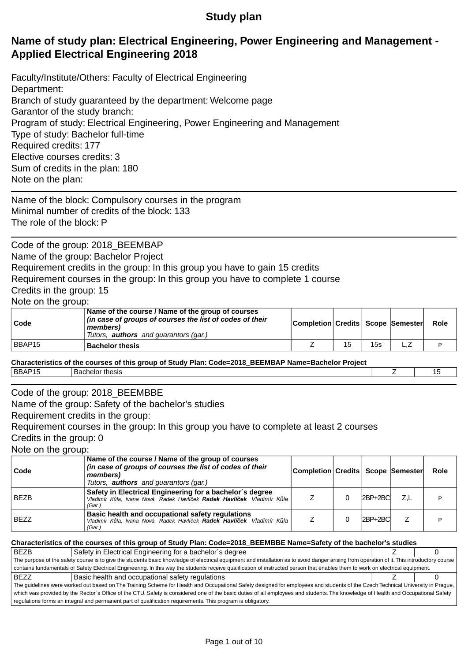# **Study plan**

# **Name of study plan: Electrical Engineering, Power Engineering and Management - Applied Electrical Engineering 2018**

Faculty/Institute/Others: Faculty of Electrical Engineering Department: Branch of study guaranteed by the department: Welcome page Garantor of the study branch: Program of study: Electrical Engineering, Power Engineering and Management Type of study: Bachelor full-time Required credits: 177 Elective courses credits: 3 Sum of credits in the plan: 180 Note on the plan:

Name of the block: Compulsory courses in the program Minimal number of credits of the block: 133 The role of the block: P

Code of the group: 2018 BEEMBAP Name of the group: Bachelor Project Requirement credits in the group: In this group you have to gain 15 credits Requirement courses in the group: In this group you have to complete 1 course Credits in the group: 15 Note on the group:

| Code   | Name of the course / Name of the group of courses<br>(in case of groups of courses the list of codes of their<br>members)<br>Tutors, <b>authors</b> and quarantors (gar.) | Completion Credits   Scope   Semester |  |     |     | Role |  |
|--------|---------------------------------------------------------------------------------------------------------------------------------------------------------------------------|---------------------------------------|--|-----|-----|------|--|
| BBAP15 | <b>Bachelor thesis</b>                                                                                                                                                    |                                       |  | 15s | --- |      |  |

**Characteristics of the courses of this group of Study Plan: Code=2018\_BEEMBAP Name=Bachelor Project** BBAP15 Bachelor thesis Z 15

## Code of the group: 2018 BEEMBBE

Name of the group: Safety of the bachelor's studies

Requirement credits in the group:

Requirement courses in the group: In this group you have to complete at least 2 courses Credits in the group: 0

Note on the group:

| Code        | Name of the course / Name of the group of courses<br>(in case of groups of courses the list of codes of their<br>members)<br>Tutors, <b>authors</b> and guarantors (gar.) | Completion Credits   Scope  Semester |             |     | Role |
|-------------|---------------------------------------------------------------------------------------------------------------------------------------------------------------------------|--------------------------------------|-------------|-----|------|
| <b>BEZB</b> | Safety in Electrical Engineering for a bachelor's degree<br>Vladimír K la, Ivana Nová, Radek Havlí ek Radek Havlí ek Vladimír K la<br>(Gar.)                              |                                      | $2BP + 2BC$ | Z.L |      |
| <b>BEZZ</b> | Basic health and occupational safety regulations<br>Vladimír K la, Ivana Nová, Radek Havlí ek Radek Havlí ek Vladimír K la<br>(Gar.)                                      |                                      | $ 2BP+2BC $ |     | D    |

#### **Characteristics of the courses of this group of Study Plan: Code=2018\_BEEMBBE Name=Safety of the bachelor's studies**

BEZB Safety in Electrical Engineering for a bachelor's degree <br> **SAFET AREA CONSERVERS** 2 The purpose of the safety course is to give the students basic knowledge of electrical equipment and installation as to avoid danger arising from operation of it. This introductory course contains fundamentals of Safety Electrical Engineering. In this way the students receive qualification of instructed person that enables them to work on electrical equipment. BEZZ Basic health and occupational safety regulations Z 0 The guidelines were worked out based on The Training Scheme for Health and Occupational Safety designed for employees and students of the Czech Technical University in Prague, which was provided by the Rector's Office of the CTU. Safety is considered one of the basic duties of all employees and students. The knowledge of Health and Occupational Safety regulations forms an integral and permanent part of qualification requirements. This program is obligatory.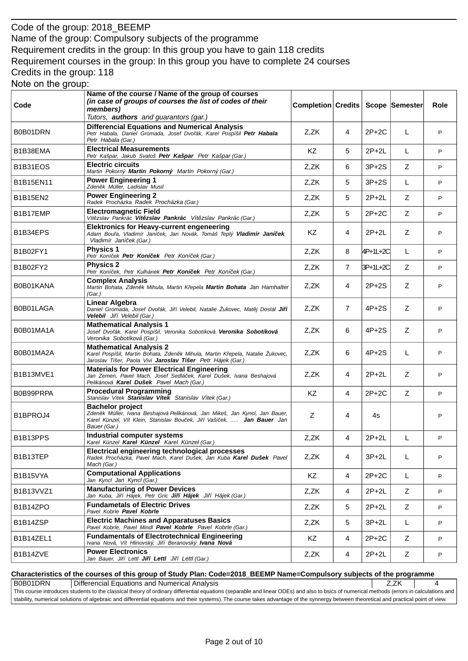# Code of the group: 2018\_BEEMP Name of the group: Compulsory subjects of the programme Requirement credits in the group: In this group you have to gain 118 credits Requirement courses in the group: In this group you have to complete 24 courses Credits in the group: 118

| Note on the group: |  |
|--------------------|--|
|--------------------|--|

| Code                                            | Name of the course / Name of the group of courses<br>(in case of groups of courses the list of codes of their<br>members)<br>Tutors, authors and guarantors (gar.)                                | <b>Completion Credits</b> |                |          | Scope Semester | Role |
|-------------------------------------------------|---------------------------------------------------------------------------------------------------------------------------------------------------------------------------------------------------|---------------------------|----------------|----------|----------------|------|
| B0B01DRN                                        | <b>Differencial Equations and Numerical Analysis</b><br>Petr Habala, Daniel Gromada, Josef Dvo ák, Karel Pospíšil Petr Habala<br>Petr Habala (Gar.)                                               | Z,ZK                      | 4              | $2P+2C$  | L              | P    |
| B1B38EMA                                        | <b>Electrical Measurements</b><br>Petr Kašpar, Jakub Svatoš Petr Kašpar Petr Kašpar (Gar.)                                                                                                        | KZ                        | 5              | $2P+2L$  | L              | P    |
| B <sub>1</sub> B <sub>31</sub> EOS              | <b>Electric circuits</b><br>Martin Pokorný Martin Pokorný Martin Pokorný (Gar.)                                                                                                                   | Z,ZK                      | 6              | $3P+2S$  | Z              | P    |
| B1B15EN11                                       | <b>Power Engineering 1</b><br>Zden k Müller, Ladislav Musil                                                                                                                                       | Z,ZK                      | 5              | $3P+2S$  | L              | P    |
| <b>B1B15EN2</b>                                 | <b>Power Engineering 2</b><br>Radek Procházka Radek Procházka (Gar.)                                                                                                                              | Z,ZK                      | 5              | $2P+2L$  | Z              | P    |
| B1B17EMP                                        | <b>Electromagnetic Field</b><br>Vít zslav Pankrác Vít zslav Pankrác Vít zslav Pankrác (Gar.)                                                                                                      | Z,ZK                      | 5              | $2P+2C$  | Z              | P    |
| B1B34EPS                                        | <b>Elektronics for Heavy-current engeneering</b><br>Adam Bou a, Vladimír Janí ek, Jan Novák, Tomáš Teplý Vladimír Janí ek<br>Vladimír Janí ek (Gar.)                                              | KZ                        | 4              | $2P+2L$  | Z              | P    |
| <b>B1B02FY1</b>                                 | <b>Physics 1</b><br>Petr Koní ek Petr Koní ek Petr Koní ek (Gar.)                                                                                                                                 | Z,ZK                      | 8              | 4P+1L+2C | L              | P    |
| <b>B1B02FY2</b>                                 | <b>Physics 2</b><br>Petr Koní ek, Petr Kulhánek Petr Koní ek Petr Koní ek (Gar.)                                                                                                                  | Z,ZK                      | $\overline{7}$ | 3P+1L+2C | Z              | P    |
| B0B01KANA                                       | <b>Complex Analysis</b><br>Martin Bohata, Zden k Mihula, Martin K epela <b>Martin Bohata</b> Jan Hamhalter<br>(Gar.)                                                                              | Z,ZK                      | 4              | $2P+2S$  | Z              | P    |
| B0B01LAGA                                       | <b>Linear Algebra</b><br>Daniel Gromada, Josef Dvo ák, Ji í Velebil, Natalie Žukovec, Mat j Dostál Ji í<br>Velebil Ji í Velebil (Gar.)                                                            | Z,ZK                      | 7              | $4P+2S$  | Z              | P    |
| B0B01MA1A                                       | <b>Mathematical Analysis 1</b><br>Josef Dvo ák, Karel Pospíšil, Veronika Sobotíková Veronika Sobotíková<br>Veronika Sobotíková (Gar.)                                                             | Z,ZK                      | 6              | $4P+2S$  | Z              | P    |
| B0B01MA2A                                       | <b>Mathematical Analysis 2</b><br>Karel Pospíšil, Martin Bohata, Zden k Mihula, Martin K epela, Natalie Žukovec,<br>Jaroslav Tišer, Paola Vivi <b>Jaroslav Tišer</b> Petr Hájek (Gar.)            | Z,ZK                      | 6              | $4P+2S$  | L              | P    |
| B <sub>1</sub> B <sub>13</sub> MVE <sub>1</sub> | <b>Materials for Power Electrical Engineering</b><br>Jan Zemen, Pavel Mach, Josef Sedlá ek, Karel Dušek, Ivana Beshajová<br>Pelikánová <b>Karel Dušek</b> Pavel Mach (Gar.)                       | Z,ZK                      | 4              | $2P+2L$  | Z              | P    |
| B0B99PRPA                                       | <b>Procedural Programming</b><br>Stanislav Vítek Stanislav Vítek Stanislav Vítek (Gar.)                                                                                                           | KZ                        | 4              | $2P+2C$  | Z              | P    |
| B1BPROJ4                                        | <b>Bachelor project</b><br>Zden k Müller, Ivana Beshajová Pelikánová, Jan Mikeš, Jan Kyncl, Jan Bauer,<br>Karel Künzel, Vít Klein, Stanislav Bou ek, Ji í Vaší ek,  Jan Bauer Jan<br>Bauer (Gar.) | Z                         | 4              | 4s       |                | P    |
| B <sub>1</sub> B <sub>13</sub> PPS              | Industrial computer systems<br>Karel Künzel Karel Künzel Karel Künzel (Gar.)                                                                                                                      | Z,ZK                      | 4              | $2P+2L$  | L              | P    |
| B1B13TEP                                        | Electrical engineering technological processes<br>Radek Procházka. Pavel Mach. Karel Dušek. Jan Kuba <b>Karel Dušek</b> Pavel<br>Mach (Gar.)                                                      | Z,ZK                      | 4              | $3P+2L$  | L              | P    |
| B1B15VYA                                        | <b>Computational Applications</b><br>Jan Kyncl Jan Kyncl (Gar.)                                                                                                                                   | KZ                        | 4              | 2P+2C    | L              | P    |
| B <sub>1</sub> B <sub>13</sub> VV <sub>Z1</sub> | <b>Manufacturing of Power Devices</b><br>Jan Kuba, Ji í Hájek, Petr Gric Ji í Hájek Ji í Hájek (Gar.)                                                                                             | Z,ZK                      | 4              | $2P+2L$  | Z              | P    |
| B1B14ZPO                                        | <b>Fundametals of Electric Drives</b><br>Pavel Kobrle Pavel Kobrle                                                                                                                                | Z,ZK                      | 5              | $2P+2L$  | Z              | P    |
| B1B14ZSP                                        | <b>Electric Machines and Apparatuses Basics</b><br>Pavel Kobrle, Pavel Mindl Pavel Kobrle Pavel Kobrle (Gar.)                                                                                     | Z,ZK                      | 5              | $3P+2L$  | L              | P    |
| B1B14ZEL1                                       | <b>Fundamentals of Electrotechnical Engineering</b><br>Ivana Nová, Vít Hlinovský, Ji í Beranovský Ivana Nová                                                                                      | KZ.                       | 4              | $2P+2C$  | Z              | P    |
| B1B14ZVE                                        | <b>Power Electronics</b><br>Jan Bauer, Ji í Lettl Ji í Lettl Ji í Lettl (Gar.)                                                                                                                    | Z,ZK                      | 4              | $2P+2L$  | Z              | P    |

#### **Characteristics of the courses of this group of Study Plan: Code=2018\_BEEMP Name=Compulsory subjects of the programme**

B0B01DRN Differencial Equations and Numerical Analysis **Analysis** Analysis Analysis Analysis Analysis Analysis Analysis Analysis Analysis Analysis Analysis Analysis Analysis Analysis Analysis Analysis Analysis Analysis Ana This course introduces students to the classical theory of ordinary differential equations (separable and linear ODEs) and also to bsics of numerical methods (errors in calculations and stability, numerical solutions of algebraic and differential equations and their systems). The course takes advantage of the synnergy between theoretical and practical point of view.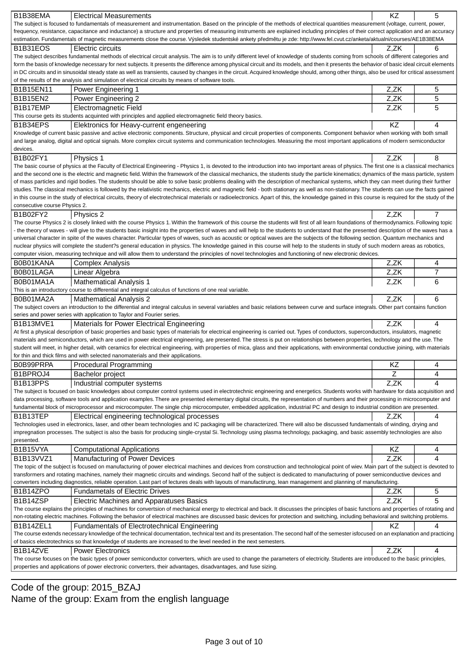| B1B38EMA                                                                                                                                                                                   | <b>Electrical Measurements</b>                                                                                                                                                                                                                                                                                                                                                                  | KZ   | 5              |  |  |  |  |
|--------------------------------------------------------------------------------------------------------------------------------------------------------------------------------------------|-------------------------------------------------------------------------------------------------------------------------------------------------------------------------------------------------------------------------------------------------------------------------------------------------------------------------------------------------------------------------------------------------|------|----------------|--|--|--|--|
|                                                                                                                                                                                            | The subject is focused to fundamentals of measurement and instrumentation. Based on the principle of the methods of electrical quantities measurement (voltage, current, power,                                                                                                                                                                                                                 |      |                |  |  |  |  |
|                                                                                                                                                                                            | frequency, resistance, capacitance and inductance) a structure and properties of measuring instruments are explained including principles of their correct application and an accuracy                                                                                                                                                                                                          |      |                |  |  |  |  |
| estimation. Fundamentals of magnetic measurements close the course. Výsledek studentské ankety p edm tu je zde: http://www.fel.cvut.cz/anketa/aktualni/courses/AE1B38EMA                   |                                                                                                                                                                                                                                                                                                                                                                                                 |      |                |  |  |  |  |
| B <sub>1</sub> B <sub>31</sub> EOS                                                                                                                                                         | Electric circuits                                                                                                                                                                                                                                                                                                                                                                               | Z.ZK | 6              |  |  |  |  |
|                                                                                                                                                                                            | The subject describes fundamental methods of electrical circuit analysis. The aim is to unify different level of knowledge of students coming from schools of different categories and<br>form the basis of knowledge necessary for next subjects. It presents the difference among physical circuit and its models, and then it presents the behavior of basic ideal circuit elements          |      |                |  |  |  |  |
| in DC circuits and in sinusoidal steady state as well as transients, caused by changes in the circuit. Acquired knowledge should, among other things, also be used for critical assessment |                                                                                                                                                                                                                                                                                                                                                                                                 |      |                |  |  |  |  |
|                                                                                                                                                                                            | of the results of the analysis and simulation of electrical circuits by means of software tools.                                                                                                                                                                                                                                                                                                |      |                |  |  |  |  |
| B1B15EN11                                                                                                                                                                                  | Power Engineering 1                                                                                                                                                                                                                                                                                                                                                                             | Z,ZK | 5              |  |  |  |  |
| <b>B1B15EN2</b>                                                                                                                                                                            | Power Engineering 2                                                                                                                                                                                                                                                                                                                                                                             | Z,ZK | 5              |  |  |  |  |
| B1B17EMP                                                                                                                                                                                   | Electromagnetic Field                                                                                                                                                                                                                                                                                                                                                                           | Z,ZK | 5              |  |  |  |  |
|                                                                                                                                                                                            | This course gets its students acquinted with principles and applied electromagnetic field theory basics.                                                                                                                                                                                                                                                                                        |      |                |  |  |  |  |
| B1B34EPS                                                                                                                                                                                   | Elektronics for Heavy-current engeneering                                                                                                                                                                                                                                                                                                                                                       | KZ   | 4              |  |  |  |  |
|                                                                                                                                                                                            | Knowledge of current basic passive and active electronic components. Structure, physical and circuit properties of components. Component behavior when working with both small                                                                                                                                                                                                                  |      |                |  |  |  |  |
|                                                                                                                                                                                            | and large analog, digital and optical signals. More complex circuit systems and communication technologies. Measuring the most important applications of modern semiconductor                                                                                                                                                                                                                   |      |                |  |  |  |  |
| devices.                                                                                                                                                                                   |                                                                                                                                                                                                                                                                                                                                                                                                 |      |                |  |  |  |  |
| B1B02FY1                                                                                                                                                                                   | Physics 1                                                                                                                                                                                                                                                                                                                                                                                       | Z.ZK | 8              |  |  |  |  |
|                                                                                                                                                                                            | The basic course of physics at the Faculty of Electrical Engineering - Physics 1, is devoted to the introduction into two important areas of physics. The first one is a classical mechanics                                                                                                                                                                                                    |      |                |  |  |  |  |
|                                                                                                                                                                                            | and the second one is the electric and magnetic field. Within the framework of the classical mechanics, the students study the particle kinematics; dynamics of the mass particle, system                                                                                                                                                                                                       |      |                |  |  |  |  |
|                                                                                                                                                                                            | of mass particles and rigid bodies. The students should be able to solve basic problems dealing with the description of mechanical systems, which they can meet during their further                                                                                                                                                                                                            |      |                |  |  |  |  |
|                                                                                                                                                                                            | studies. The classical mechanics is followed by the relativistic mechanics, electric and magnetic field - both stationary as well as non-stationary. The students can use the facts gained<br>in this course in the study of electrical circuits, theory of electrotechnical materials or radioelectronics. Apart of this, the knowledge gained in this course is required for the study of the |      |                |  |  |  |  |
| consecutive course Physics 2.                                                                                                                                                              |                                                                                                                                                                                                                                                                                                                                                                                                 |      |                |  |  |  |  |
| B1B02FY2                                                                                                                                                                                   | Physics 2                                                                                                                                                                                                                                                                                                                                                                                       | Z,ZK | $\overline{7}$ |  |  |  |  |
|                                                                                                                                                                                            | The course Physics 2 is closely linked with the course Physics 1. Within the framework of this course the students will first of all learn foundations of thermodynamics. Following topic                                                                                                                                                                                                       |      |                |  |  |  |  |
|                                                                                                                                                                                            | - the theory of waves - will give to the students basic insight into the properties of waves and will help to the students to understand that the presented description of the waves has a                                                                                                                                                                                                      |      |                |  |  |  |  |
|                                                                                                                                                                                            | universal character in spite of the waves character. Particular types of waves, such as acoustic or optical waves are the subjects of the following section. Quantum mechanics and                                                                                                                                                                                                              |      |                |  |  |  |  |
|                                                                                                                                                                                            | nuclear physics will complete the student?s general education in physics. The knowledge gained in this course will help to the students in study of such modern areas as robotics,                                                                                                                                                                                                              |      |                |  |  |  |  |
|                                                                                                                                                                                            | computer vision, measuring technique and will allow them to understand the principles of novel technologies and functioning of new electronic devices.                                                                                                                                                                                                                                          |      |                |  |  |  |  |
| B0B01KANA                                                                                                                                                                                  | <b>Complex Analysis</b>                                                                                                                                                                                                                                                                                                                                                                         | Z,ZK | 4              |  |  |  |  |
| B0B01LAGA                                                                                                                                                                                  | Linear Algebra                                                                                                                                                                                                                                                                                                                                                                                  | Z,ZK | $\overline{7}$ |  |  |  |  |
| B0B01MA1A                                                                                                                                                                                  | <b>Mathematical Analysis 1</b>                                                                                                                                                                                                                                                                                                                                                                  | Z,ZK | 6              |  |  |  |  |
|                                                                                                                                                                                            | This is an introductory course to differential and integral calculus of functions of one real variable.                                                                                                                                                                                                                                                                                         |      |                |  |  |  |  |
| B0B01MA2A                                                                                                                                                                                  | <b>Mathematical Analysis 2</b>                                                                                                                                                                                                                                                                                                                                                                  | Z,ZK | 6              |  |  |  |  |
|                                                                                                                                                                                            |                                                                                                                                                                                                                                                                                                                                                                                                 |      |                |  |  |  |  |
|                                                                                                                                                                                            | The subject covers an introduction to the differential and integral calculus in several variables and basic relations between curve and surface integrals. Other part contains function                                                                                                                                                                                                         |      |                |  |  |  |  |
|                                                                                                                                                                                            | series and power series with application to Taylor and Fourier series.                                                                                                                                                                                                                                                                                                                          |      |                |  |  |  |  |
| B1B13MVE1                                                                                                                                                                                  | Materials for Power Electrical Engineering                                                                                                                                                                                                                                                                                                                                                      | Z,ZK | 4              |  |  |  |  |
|                                                                                                                                                                                            | At first a physical description of basic properties and basic types of materials for electrical engineering is carried out. Types of conductors, superconductors, insulators, magnetic                                                                                                                                                                                                          |      |                |  |  |  |  |
|                                                                                                                                                                                            | materials and semiconductors, which are used in power electrical engineering, are presented. The stress is put on relationships between properties, technology and the use. The                                                                                                                                                                                                                 |      |                |  |  |  |  |
|                                                                                                                                                                                            | student will meet, in higher detail, with ceramics for electrical engineering, with properties of mica, glass and their applications, with environmental conductive joining, with materials                                                                                                                                                                                                     |      |                |  |  |  |  |
|                                                                                                                                                                                            | for thin and thick films and with selected nanomaterials and their applications.                                                                                                                                                                                                                                                                                                                |      |                |  |  |  |  |
| B0B99PRPA                                                                                                                                                                                  | Procedural Programming                                                                                                                                                                                                                                                                                                                                                                          | ΚZ   | 4              |  |  |  |  |
| B1BPROJ4                                                                                                                                                                                   | <b>Bachelor project</b>                                                                                                                                                                                                                                                                                                                                                                         | Z    | 4              |  |  |  |  |
| B1B13PPS                                                                                                                                                                                   | Industrial computer systems                                                                                                                                                                                                                                                                                                                                                                     | Z,ZK | 4              |  |  |  |  |
|                                                                                                                                                                                            | The subject is focused on basic knowledges about computer control systems used in electrotechnic engineering and energetics. Students works with hardware for data acquisition and                                                                                                                                                                                                              |      |                |  |  |  |  |
|                                                                                                                                                                                            | data processing, software tools and application examples. There are presented elementary digital circuits, the representation of numbers and their processing in microcomputer and                                                                                                                                                                                                              |      |                |  |  |  |  |
|                                                                                                                                                                                            | fundamental block of microprocessor and microcomputer. The single chip microcomputer, embedded application, industrial PC and design to industrial condition are presented.                                                                                                                                                                                                                     |      |                |  |  |  |  |
| B1B13TEP                                                                                                                                                                                   | Electrical engineering technological processes                                                                                                                                                                                                                                                                                                                                                  | Z.ZK | 4              |  |  |  |  |
|                                                                                                                                                                                            | Technologies used in electronics, laser, and other beam technologies and IC packaging will be characterized. There will also be discussed fundamentals of winding, drying and                                                                                                                                                                                                                   |      |                |  |  |  |  |
|                                                                                                                                                                                            | impregnation processes. The subject is also the basis for producing single-crystal Si. Technology using plasma technology, packaging, and basic assembly technologies are also                                                                                                                                                                                                                  |      |                |  |  |  |  |
| presented.                                                                                                                                                                                 |                                                                                                                                                                                                                                                                                                                                                                                                 |      |                |  |  |  |  |
| B1B15VYA                                                                                                                                                                                   | <b>Computational Applications</b>                                                                                                                                                                                                                                                                                                                                                               | ΚZ   | 4              |  |  |  |  |
| B1B13VVZ1                                                                                                                                                                                  | Manufacturing of Power Devices                                                                                                                                                                                                                                                                                                                                                                  | Z,ZK | 4              |  |  |  |  |
|                                                                                                                                                                                            | The topic of the subject is focused on manufacturing of power electrical machines and devices from construction and technological point of wiev. Main part of the subject is devoted to<br>transformers and rotating machines, namely their magnetic circuits and windings. Second half of the subject is dedicated to manufacturing of power semiconductive devices and                        |      |                |  |  |  |  |
|                                                                                                                                                                                            | converters including diagnostics, reliable operation. Last part of lectures deals with layouts of manufactirung, lean management and planning of manufacturing.                                                                                                                                                                                                                                 |      |                |  |  |  |  |
| B1B14ZPO                                                                                                                                                                                   | <b>Fundametals of Electric Drives</b>                                                                                                                                                                                                                                                                                                                                                           | Z,ZK | 5              |  |  |  |  |
| B1B14ZSP                                                                                                                                                                                   |                                                                                                                                                                                                                                                                                                                                                                                                 | Z,ZK | 5              |  |  |  |  |
|                                                                                                                                                                                            | Electric Machines and Apparatuses Basics<br>The course explains the principles of machines for convertsion of mechanical energy to electrical and back. It discusses the principles of basic functions and properties of rotating and                                                                                                                                                           |      |                |  |  |  |  |
|                                                                                                                                                                                            | non-rotating electric machines. Following the behavior of electrical machines are discussed basic devices for protection and switching, including behavioral and switching problems.                                                                                                                                                                                                            |      |                |  |  |  |  |
| B1B14ZEL1                                                                                                                                                                                  | <b>Fundamentals of Electrotechnical Engineering</b>                                                                                                                                                                                                                                                                                                                                             | ΚZ   | 4              |  |  |  |  |
|                                                                                                                                                                                            | The course extends necessary knowledge of the technical documentation, technical text and its presentation. The second half of the semester isfocused on an explanation and practicing                                                                                                                                                                                                          |      |                |  |  |  |  |
|                                                                                                                                                                                            | of basics electrotechnics so that knowledge of students are increased to the level needed in the next semesters.                                                                                                                                                                                                                                                                                |      |                |  |  |  |  |
| B1B14ZVE                                                                                                                                                                                   | <b>Power Electronics</b>                                                                                                                                                                                                                                                                                                                                                                        | Z,ZK | 4              |  |  |  |  |
|                                                                                                                                                                                            | The course focuses on the basic types of power semiconductor converters, which are used to change the parameters of electricity. Students are introduced to the basic principles,<br>properties and applications of power electronic converters, their advantages, disadvantages, and fuse sizing.                                                                                              |      |                |  |  |  |  |

# Code of the group: 2015\_BZAJ Name of the group: Exam from the english language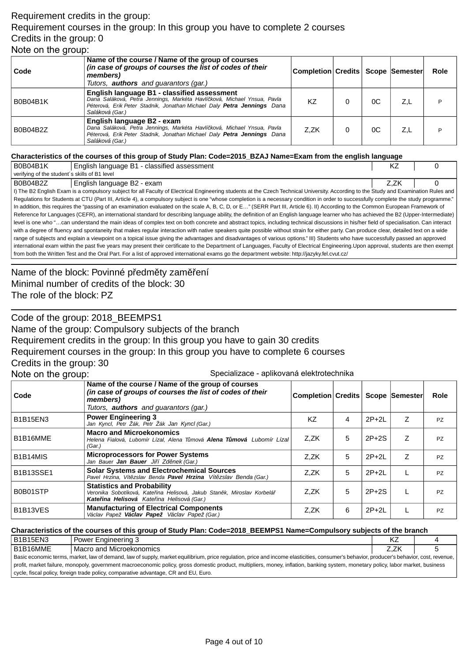## Requirement credits in the group: Requirement courses in the group: In this group you have to complete 2 courses Credits in the group: 0 Note on the group:

| Code            | Name of the course / Name of the group of courses<br>(in case of groups of courses the list of codes of their<br>members)<br>Tutors, <b>authors</b> and guarantors (gar.)                                            | Completion Credits   Scope   Semester |    |     | Role |
|-----------------|----------------------------------------------------------------------------------------------------------------------------------------------------------------------------------------------------------------------|---------------------------------------|----|-----|------|
| <b>B0B04B1K</b> | English language B1 - classified assessment<br>Dana Saláková, Petra Jennings, Markéta Havlí ková, Michael Ynsua, Pavla<br>Péterová, Erik Peter Stadnik, Jonathan Michael Daly Petra Jennings Dana<br>Saláková (Gar.) | K7                                    | 0C | Z,L |      |
| B0B04B2Z        | English language B2 - exam<br>Dana Saláková, Petra Jennings, Markéta Havlí ková, Michael Ynsua, Pavla<br>Péterová, Erik Peter Stadnik, Jonathan Michael Daly Petra Jennings Dana<br>Saláková (Gar.)                  | Z,ZK                                  | 0C | Z.L | D    |

#### **Characteristics of the courses of this group of Study Plan: Code=2015\_BZAJ Name=Exam from the english language**

| <b>B0B04B1K</b>                                                                                                                                                                        | English language B1 - classified assessment                                                                                                                                             | ΚZ   |  |  |  |  |  |
|----------------------------------------------------------------------------------------------------------------------------------------------------------------------------------------|-----------------------------------------------------------------------------------------------------------------------------------------------------------------------------------------|------|--|--|--|--|--|
| verifying of the student's skills of B1 level                                                                                                                                          |                                                                                                                                                                                         |      |  |  |  |  |  |
| B0B04B2Z                                                                                                                                                                               | English language B2 - exam                                                                                                                                                              | Z.ZK |  |  |  |  |  |
|                                                                                                                                                                                        | I) The B2 English Exam is a compulsory subject for all Faculty of Electrical Engineering students at the Czech Technical University. According to the Study and Examination Rules and   |      |  |  |  |  |  |
|                                                                                                                                                                                        | Regulations for Students at CTU (Part III, Article 4), a compulsory subject is one "whose completion is a necessary condition in order to successfully complete the study programme."   |      |  |  |  |  |  |
|                                                                                                                                                                                        | In addition, this requires the "passing of an examination evaluated on the scale A, B, C, D, or E" (SERR Part III, Article 6). II) According to the Common European Framework of        |      |  |  |  |  |  |
|                                                                                                                                                                                        | Reference for Languages (CEFR), an international standard for describing language ability, the definition of an English language learner who has achieved the B2 (Upper-Intermediate)   |      |  |  |  |  |  |
|                                                                                                                                                                                        | level is one who "can understand the main ideas of complex text on both concrete and abstract topics, including technical discussions in his/her field of specialisation. Can interact  |      |  |  |  |  |  |
|                                                                                                                                                                                        | with a degree of fluency and spontaneity that makes regular interaction with native speakers quite possible without strain for either party. Can produce clear, detailed text on a wide |      |  |  |  |  |  |
| range of subjects and explain a viewpoint on a topical issue giving the advantages and disadvantages of various options." III) Students who have successfully passed an approved       |                                                                                                                                                                                         |      |  |  |  |  |  |
| international exam within the past five years may present their certificate to the Department of Languages, Faculty of Electrical Engineering. Upon approval, students are then exempt |                                                                                                                                                                                         |      |  |  |  |  |  |
| from both the Written Test and the Oral Part. For a list of approved international exams go the department website: http://jazyky.fel.cvut.cz/                                         |                                                                                                                                                                                         |      |  |  |  |  |  |

Name of the block: Povinné p edm ty zam ení Minimal number of credits of the block: 30 The role of the block: PZ

Code of the group: 2018\_BEEMPS1

Name of the group: Compulsory subjects of the branch

Requirement credits in the group: In this group you have to gain 30 credits

Requirement courses in the group: In this group you have to complete 6 courses

Credits in the group: 30

Note on the group: Specializace - aplikovaná elektrotechnika

| Code             | Name of the course / Name of the group of courses<br>(in case of groups of courses the list of codes of their<br>members)<br>Tutors, <b>authors</b> and quarantors (gar.) | Completion Credits   Scope   Semester |   |         |   | <b>Role</b> |
|------------------|---------------------------------------------------------------------------------------------------------------------------------------------------------------------------|---------------------------------------|---|---------|---|-------------|
| <b>B1B15EN3</b>  | <b>Power Engineering 3</b><br>Jan Kyncl, Petr Žák, Petr Žák Jan Kyncl (Gar.)                                                                                              | KZ                                    | 4 | $2P+2L$ | Z | <b>PZ</b>   |
| B1B16MME         | <b>Macro and Microekonomics</b><br>Helena Fialová, Lubomír Lízal, Alena T mová <b>Alena T mová</b> Lubomír Lízal<br>(Gar.)                                                | Z.ZK                                  | 5 | $2P+2S$ | Z | <b>PZ</b>   |
| B1B14MIS         | <b>Microprocessors for Power Systems</b><br>Jan Bauer <b>Jan Bauer</b> Ji í Zd nek (Gar.)                                                                                 | Z.ZK                                  | 5 | $2P+2L$ | Z | <b>PZ</b>   |
| <b>B1B13SSE1</b> | <b>Solar Systems and Electrochemical Sources</b><br>Pavel Hrzina, Vít zslav Benda Pavel Hrzina Vít zslav Benda (Gar.)                                                     | Z.ZK                                  | 5 | $2P+2L$ |   | <b>PZ</b>   |
| B0B01STP         | <b>Statistics and Probability</b><br>Veronika Sobotíková, Kate ina Helisová, Jakub Stan k, Miroslav Korbelá<br>Kate ina Helisová Kate ina Helisová (Gar.)                 | Z.ZK                                  | 5 | $2P+2S$ |   | <b>PZ</b>   |
| B1B13VES         | <b>Manufacturing of Electrical Components</b><br>Václav Papež Václav Papež Václav Papež (Gar.)                                                                            | Z.ZK                                  | 6 | $2P+2L$ |   | <b>PZ</b>   |

#### **Characteristics of the courses of this group of Study Plan: Code=2018\_BEEMPS1 Name=Compulsory subjects of the branch**

| B1B15EN3                                                                                                                                                                                   | l Power Engineering 3      | KŽ   |  |  |  |  |
|--------------------------------------------------------------------------------------------------------------------------------------------------------------------------------------------|----------------------------|------|--|--|--|--|
| B1B16MME                                                                                                                                                                                   | l Macro and Microekonomics | Z.ZK |  |  |  |  |
| Basic economic terms, market, law of demand, law of supply, market equilibrium, price regulation, price and income elasticities, consumer's behavior, producer's behavior, cost, revenue,  |                            |      |  |  |  |  |
| profit, market failure, monopoly, government macroeconomic policy, gross domestic product, multipliers, money, inflation, banking system, monetary policy, labor market, business profices |                            |      |  |  |  |  |
| cycle, fiscal policy, foreign trade policy, comparative advantage, CR and EU, Euro.                                                                                                        |                            |      |  |  |  |  |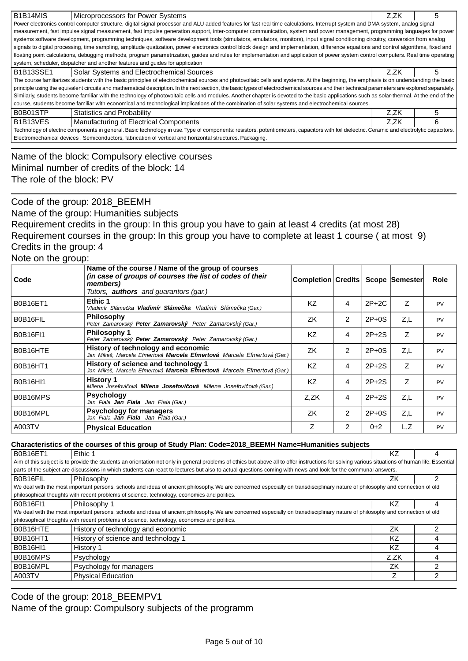| B1B14MIS                                                                                                                                                                                    | Microprocessors for Power Systems                                                                                                                                                             | Z.ZK | 5 |  |  |  |  |
|---------------------------------------------------------------------------------------------------------------------------------------------------------------------------------------------|-----------------------------------------------------------------------------------------------------------------------------------------------------------------------------------------------|------|---|--|--|--|--|
|                                                                                                                                                                                             | Power electronics control computer structure, digital signal processor and ALU added features for fast real time calculations. Interrupt system and DMA system, analog signal                 |      |   |  |  |  |  |
|                                                                                                                                                                                             | measurement, fast impulse signal measurement, fast impulse generation support, inter-computer communication, system and power management, programming languages for power                     |      |   |  |  |  |  |
|                                                                                                                                                                                             | systems software development, programming techniques, software development tools (simulators, emulators, monitors), input signal conditioning circuitry, conversion from analog               |      |   |  |  |  |  |
|                                                                                                                                                                                             | signals to digital processing, time sampling, amplitude quatization, power electronics control block design and implementation, difference equations and control algorithms, fixed and        |      |   |  |  |  |  |
|                                                                                                                                                                                             | floating point calculations, debugging methods, program parametrization, guides and rules for implementation and application of power system control computers. Real time operating           |      |   |  |  |  |  |
|                                                                                                                                                                                             | system, scheduler, dispatcher and another features and guides for application                                                                                                                 |      |   |  |  |  |  |
| <b>B1B13SSE1</b>                                                                                                                                                                            | Solar Systems and Electrochemical Sources                                                                                                                                                     | Z.ZK | 5 |  |  |  |  |
|                                                                                                                                                                                             | The course familiarizes students with the basic principles of electrochemical sources and photovoltaic cells and systems. At the beginning, the emphasis is on understanding the basic        |      |   |  |  |  |  |
|                                                                                                                                                                                             | principle using the equivalent circuits and mathematical description. In the next section, the basic types of electrochemical sources and their technical parameters are explored separately. |      |   |  |  |  |  |
|                                                                                                                                                                                             | Similarly, students become familiar with the technology of photovoltaic cells and modules. Another chapter is devoted to the basic applications such as solar-thermal. At the end of the      |      |   |  |  |  |  |
|                                                                                                                                                                                             | course, students become familiar with economical and technological implications of the combination of solar systems and electrochemical sources.                                              |      |   |  |  |  |  |
| B0B01STP                                                                                                                                                                                    | Statistics and Probability                                                                                                                                                                    | Z.ZK | 5 |  |  |  |  |
| B <sub>1</sub> B <sub>13</sub> VES                                                                                                                                                          | Manufacturing of Electrical Components                                                                                                                                                        | Z.ZK | 6 |  |  |  |  |
| Technology of electric components in general. Basic technology in use. Type of components: resistors, potentiometers, capacitors with foil dielectric. Ceramic and electrolytic capacitors. |                                                                                                                                                                                               |      |   |  |  |  |  |
| Electromechanical devices . Semiconductors, fabrication of vertical and horizontal structures. Packaging.                                                                                   |                                                                                                                                                                                               |      |   |  |  |  |  |
|                                                                                                                                                                                             |                                                                                                                                                                                               |      |   |  |  |  |  |

Name of the block: Compulsory elective courses Minimal number of credits of the block: 14 The role of the block: PV

Code of the group: 2018\_BEEMH

Name of the group: Humanities subjects

Requirement credits in the group: In this group you have to gain at least 4 credits (at most 28) Requirement courses in the group: In this group you have to complete at least 1 course ( at most 9) Credits in the group: 4

Note on the group:

| Code            | Name of the course / Name of the group of courses<br>(in case of groups of courses the list of codes of their<br>members)<br>Tutors, <b>authors</b> and quarantors (gar.) | Completion Credits |   |         | <b>Scope Semester</b> | <b>Role</b> |
|-----------------|---------------------------------------------------------------------------------------------------------------------------------------------------------------------------|--------------------|---|---------|-----------------------|-------------|
| <b>B0B16ET1</b> | Ethic 1<br>Vladimír Sláme ka <b>Vladimír Sláme ka</b> Vladimír Sláme ka (Gar.)                                                                                            | <b>KZ</b>          | 4 | $2P+2C$ | Ζ                     | <b>PV</b>   |
| B0B16FIL        | <b>Philosophy</b><br>Peter Zamarovský Peter Zamarovský Peter Zamarovský (Gar.)                                                                                            | ZK                 | 2 | $2P+0S$ | Z.L                   | <b>PV</b>   |
| <b>B0B16FI1</b> | <b>Philosophy 1</b><br>Peter Zamarovský Peter Zamarovský Peter Zamarovský (Gar.)                                                                                          | <b>KZ</b>          | 4 | $2P+2S$ | Ζ                     | <b>PV</b>   |
| B0B16HTE        | History of technology and economic<br>Jan Mikeš, Marcela Efmertová <b>Marcela Efmertová</b> Marcela Efmertová (Gar.)                                                      | ZK                 | 2 | $2P+0S$ | Z,L                   | <b>PV</b>   |
| <b>B0B16HT1</b> | History of science and technology 1<br>Jan Mikeš, Marcela Efmertová Marcela Efmertová Marcela Efmertová (Gar.)                                                            | <b>KZ</b>          | 4 | $2P+2S$ | Ζ                     | <b>PV</b>   |
| <b>B0B16HI1</b> | <b>History 1</b><br>Milena Josefovi ová <b>Milena Josefovi ová</b> Milena Josefovi ová (Gar.)                                                                             | <b>KZ</b>          | 4 | $2P+2S$ | Z                     | <b>PV</b>   |
| B0B16MPS        | <b>Psychology</b><br>Jan Fiala <b>Jan Fiala</b> Jan Fiala (Gar.)                                                                                                          | Z.ZK               | 4 | $2P+2S$ | Z,L                   | <b>PV</b>   |
| B0B16MPL        | <b>Psychology for managers</b><br>Jan Fiala <b>Jan Fiala</b> Jan Fiala (Gar.)                                                                                             | ZK                 | 2 | $2P+0S$ | Z.L                   | <b>PV</b>   |
| A003TV          | <b>Physical Education</b>                                                                                                                                                 | Ζ                  | 2 | $0 + 2$ | L,Z                   | <b>PV</b>   |

### **Characteristics of the courses of this group of Study Plan: Code=2018\_BEEMH Name=Humanities subjects**

| <b>B0B16ET1</b>                                                                                                                                                                                  | Ethic 1                                                                                                                                                                       |      |  |  |  |  |  |
|--------------------------------------------------------------------------------------------------------------------------------------------------------------------------------------------------|-------------------------------------------------------------------------------------------------------------------------------------------------------------------------------|------|--|--|--|--|--|
| Aim of this subject is to provide the students an orientation not only in general problems of ethics but above all to offer instructions for solving various situations of human life. Essential |                                                                                                                                                                               |      |  |  |  |  |  |
|                                                                                                                                                                                                  | parts of the subject are discussions in which students can react to lectures but also to actual questions coming with news and look for the communal answers.                 |      |  |  |  |  |  |
| B0B16FIL                                                                                                                                                                                         | ΖK                                                                                                                                                                            |      |  |  |  |  |  |
|                                                                                                                                                                                                  | We deal with the most important persons, schools and ideas of ancient philosophy. We are concerned especially on transdisciplinary nature of philosophy and connection of old |      |  |  |  |  |  |
|                                                                                                                                                                                                  | philosophical thoughts with recent problems of science, technology, economics and politics.                                                                                   |      |  |  |  |  |  |
| <b>B0B16FI1</b>                                                                                                                                                                                  | Philosophy 1                                                                                                                                                                  | ΚZ   |  |  |  |  |  |
|                                                                                                                                                                                                  | We deal with the most important persons, schools and ideas of ancient philosophy. We are concerned especially on transdisciplinary nature of philosophy and connection of old |      |  |  |  |  |  |
|                                                                                                                                                                                                  | philosophical thoughts with recent problems of science, technology, economics and politics.                                                                                   |      |  |  |  |  |  |
| B0B16HTE                                                                                                                                                                                         | History of technology and economic                                                                                                                                            | ΖK   |  |  |  |  |  |
| <b>B0B16HT1</b>                                                                                                                                                                                  | History of science and technology 1                                                                                                                                           | ΚZ   |  |  |  |  |  |
| <b>B0B16HI1</b>                                                                                                                                                                                  | History 1                                                                                                                                                                     | K7   |  |  |  |  |  |
| B0B16MPS                                                                                                                                                                                         | Psychology                                                                                                                                                                    | Z.ZK |  |  |  |  |  |
| B0B16MPL                                                                                                                                                                                         | Psychology for managers                                                                                                                                                       | ΖK   |  |  |  |  |  |
| A003TV                                                                                                                                                                                           | <b>Physical Education</b>                                                                                                                                                     |      |  |  |  |  |  |

Code of the group: 2018 BEEMPV1

Name of the group: Compulsory subjects of the programm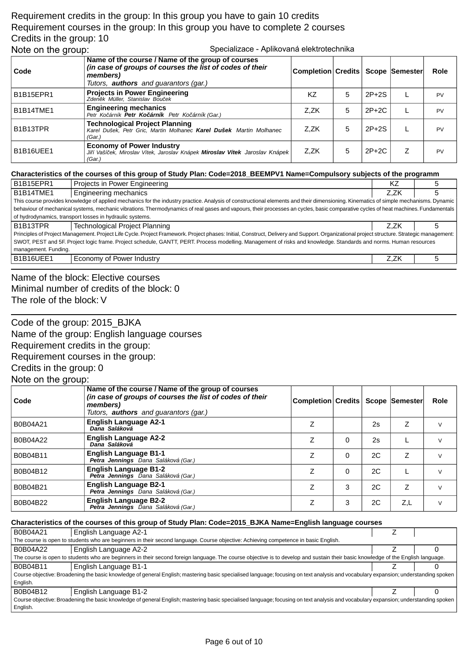## Requirement credits in the group: In this group you have to gain 10 credits Requirement courses in the group: In this group you have to complete 2 courses Credits in the group: 10 Note on the group: Specializace - Aplikovaná elektrotechnika

| ີ         |                                                                                                                                                                           |                                       |   |         |           |
|-----------|---------------------------------------------------------------------------------------------------------------------------------------------------------------------------|---------------------------------------|---|---------|-----------|
| Code      | Name of the course / Name of the group of courses<br>(in case of groups of courses the list of codes of their<br>members)<br>Tutors, <b>authors</b> and guarantors (gar.) | Completion Credits   Scope   Semester |   |         | Role      |
| B1B15EPR1 | <b>Projects in Power Engineering</b><br>Zden k Müller, Stanislav Bou ek                                                                                                   | ΚZ                                    | 5 | $2P+2S$ | <b>PV</b> |
| B1B14TME1 | <b>Engineering mechanics</b><br>Petr Ko árník Petr Ko árník Petr Ko árník (Gar.)                                                                                          | Z.ZK                                  | 5 | $2P+2C$ | <b>PV</b> |
| B1B13TPR  | <b>Technological Project Planning</b><br>Karel Dušek, Petr Gric, Martin Molhanec Karel Dušek Martin Molhanec<br>(Gar.)                                                    | Z.ZK                                  | 5 | $2P+2S$ | <b>PV</b> |
| B1B16UEE1 | <b>Economy of Power Industry</b><br>Ji í Vaší ek, Miroslav Vítek, Jaroslav Knápek Miroslav Vítek Jaroslav Knápek<br>(Gar.)                                                | Z.ZK                                  | 5 | $2P+2C$ | <b>PV</b> |

### **Characteristics of the courses of this group of Study Plan: Code=2018\_BEEMPV1 Name=Compulsory subjects of the programm**

| <b>B1B15EPR1</b>                                                                                                                                                                           | Projects in Power Engineering                                                                                                                                                      | KZ   |  |  |  |
|--------------------------------------------------------------------------------------------------------------------------------------------------------------------------------------------|------------------------------------------------------------------------------------------------------------------------------------------------------------------------------------|------|--|--|--|
| B1B14TME1                                                                                                                                                                                  | Engineering mechanics                                                                                                                                                              | Z.ZK |  |  |  |
| This course provides knowledge of applied mechanics for the industry practice. Analysis of constructional elements and their dimensioning. Kinematics of simple mechanisms. Dynamic        |                                                                                                                                                                                    |      |  |  |  |
|                                                                                                                                                                                            | behaviour of mechanical systems, mechanic vibrations. Thermodynamics of real gases and vapours, their processes an cycles, basic comparative cycles of heat machines. Fundamentals |      |  |  |  |
|                                                                                                                                                                                            | of hydrodynamics, transport losses in hydraulic systems.                                                                                                                           |      |  |  |  |
| B1B13TPR                                                                                                                                                                                   | <b>Technological Project Planning</b>                                                                                                                                              | Z.ZK |  |  |  |
| Principles of Project Management. Project Life Cycle. Project Framework. Project phases: Initial, Construct, Delivery and Support. Organizational project structure. Strategic management: |                                                                                                                                                                                    |      |  |  |  |
| SWOT, PEST and 5F. Project logic frame. Project schedule, GANTT, PERT. Process modelling. Management of risks and knowledge. Standards and norms. Human resources                          |                                                                                                                                                                                    |      |  |  |  |
| management. Funding.                                                                                                                                                                       |                                                                                                                                                                                    |      |  |  |  |
| B1B16UEE1                                                                                                                                                                                  | Economy of Power Industry                                                                                                                                                          | Z.ZK |  |  |  |

Name of the block: Elective courses Minimal number of credits of the block: 0 The role of the block: V

Code of the group: 2015\_BJKA Name of the group: English language courses Requirement credits in the group: Requirement courses in the group: Credits in the group: 0

# Note on the group:

| Code     | Name of the course / Name of the group of courses<br>(in case of groups of courses the list of codes of their<br>members)<br>Tutors, <b>authors</b> and guarantors (gar.) | Completion Credits   Scope  Semester |          |    |     | Role   |
|----------|---------------------------------------------------------------------------------------------------------------------------------------------------------------------------|--------------------------------------|----------|----|-----|--------|
| B0B04A21 | <b>English Language A2-1</b><br>Dana Saláková                                                                                                                             |                                      |          | 2s | Z   | $\vee$ |
| B0B04A22 | <b>English Language A2-2</b><br>Dana Saláková                                                                                                                             | Z                                    | $\Omega$ | 2s |     | V      |
| B0B04B11 | <b>English Language B1-1</b><br>Petra Jennings Dana Saláková (Gar.)                                                                                                       | Z                                    | $\Omega$ | 2C | Z   | $\vee$ |
| B0B04B12 | <b>English Language B1-2</b><br>Petra Jennings Dana Saláková (Gar.)                                                                                                       | Z                                    | 0        | 2C |     | V      |
| B0B04B21 | <b>English Language B2-1</b><br>Petra Jennings Dana Saláková (Gar.)                                                                                                       | Z                                    | 3        | 2C | Ζ   | V      |
| B0B04B22 | <b>English Language B2-2</b><br>Petra Jennings Dana Saláková (Gar.)                                                                                                       |                                      | 3        | 2C | Z,L | v      |

#### **Characteristics of the courses of this group of Study Plan: Code=2015\_BJKA Name=English language courses**

| B0B04A21                                                                                                                                                                            | English Language A2-1                                                                                                                                                               |  |  |  |  |  |
|-------------------------------------------------------------------------------------------------------------------------------------------------------------------------------------|-------------------------------------------------------------------------------------------------------------------------------------------------------------------------------------|--|--|--|--|--|
|                                                                                                                                                                                     | The course is open to students who are beginners in their second language. Course objective: Achieving competence in basic English.                                                 |  |  |  |  |  |
| <b>B0B04A22</b>                                                                                                                                                                     | English Language A2-2                                                                                                                                                               |  |  |  |  |  |
|                                                                                                                                                                                     | The course is open to students who are beginners in their second foreign language. The course objective is to develop and sustain their basic knowledge of the English language.    |  |  |  |  |  |
| B0B04B11                                                                                                                                                                            | English Language B1-1                                                                                                                                                               |  |  |  |  |  |
|                                                                                                                                                                                     | Course objective: Broadening the basic knowledge of general English; mastering basic specialised language; focusing on text analysis and vocabulary expansion; understanding spoken |  |  |  |  |  |
| English.                                                                                                                                                                            |                                                                                                                                                                                     |  |  |  |  |  |
| B0B04B12                                                                                                                                                                            | <b>English Language B1-2</b>                                                                                                                                                        |  |  |  |  |  |
| Course objective: Broadening the basic knowledge of general English; mastering basic specialised language; focusing on text analysis and vocabulary expansion; understanding spoken |                                                                                                                                                                                     |  |  |  |  |  |
| English.                                                                                                                                                                            |                                                                                                                                                                                     |  |  |  |  |  |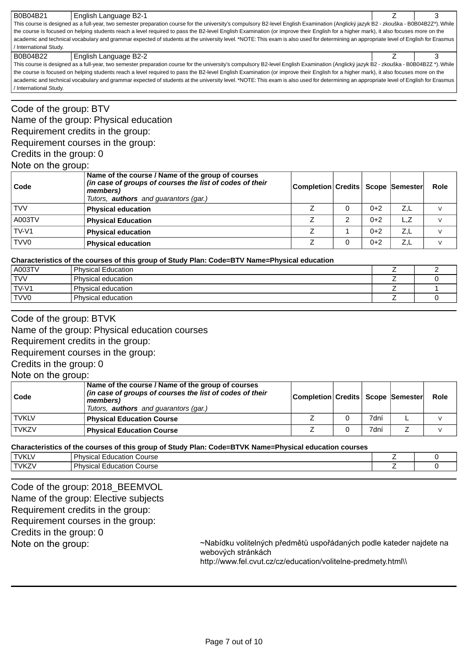B0B04B21 English Language B2-1 **3** and 3 and 3 and 3 and 3 and 3 and 3 and 3 and 3 and 3 and 3 and 3 and 3 and 3 and 3 and 3 and 3 and 3 and 3 and 3 and 3 and 3 and 3 and 3 and 3 and 3 and 3 and 3 and 3 and 3 and 3 and 3 a This course is designed as a full-year, two semester preparation course for the university's compulsory B2-level English Examination (Anglický jazyk B2 - zkouška - B0B04B2Z\*).While the course is focused on helping students reach a level required to pass the B2-level English Examination (or improve their English for a higher mark), it also focuses more on the academic and technical vocabulary and grammar expected of students at the university level. \*NOTE: This exam is also used for determining an appropriate level of English for Erasmus / International Study.

#### B0B04B22 English Language B2-2 Z 3

This course is designed as a full-year, two semester preparation course for the university's compulsory B2-level English Examination (Anglický jazyk B2 - zkouška - B0B04B2Z \*).While the course is focused on helping students reach a level required to pass the B2-level English Examination (or improve their English for a higher mark), it also focuses more on the academic and technical vocabulary and grammar expected of students at the university level. \*NOTE: This exam is also used for determining an appropriate level of English for Erasmus / International Study.

Code of the group: BTV Name of the group: Physical education Requirement credits in the group: Requirement courses in the group: Credits in the group: 0 Note on the group:

| Code             | Name of the course / Name of the group of courses<br>(in case of groups of courses the list of codes of their<br>members)<br>Tutors, <b>authors</b> and guarantors (gar.) | Completion Credits   Scope   Semester |   |       |     | Role |
|------------------|---------------------------------------------------------------------------------------------------------------------------------------------------------------------------|---------------------------------------|---|-------|-----|------|
| <b>TVV</b>       | <b>Physical education</b>                                                                                                                                                 |                                       |   | $0+2$ | Z.L |      |
| A003TV           | <b>Physical Education</b>                                                                                                                                                 |                                       | っ | $0+2$ | L.Z |      |
| $TV-VI$          | <b>Physical education</b>                                                                                                                                                 |                                       |   | $0+2$ | Z.L |      |
| TVV <sub>0</sub> | <b>Physical education</b>                                                                                                                                                 |                                       |   | $0+2$ | Z.L |      |

#### **Characteristics of the courses of this group of Study Plan: Code=BTV Name=Physical education**

| A003TV     | <b>Physical Education</b> |  |
|------------|---------------------------|--|
| <b>TVV</b> | Physical education        |  |
| TV-V1      | Physical education        |  |
| TVV0       | Physical education        |  |

## Code of the group: BTVK

Name of the group: Physical education courses

Requirement credits in the group:

Requirement courses in the group:

Credits in the group: 0

### Note on the group:

| Code         | Name of the course / Name of the group of courses<br>(in case of groups of courses the list of codes of their<br>members)<br>Tutors, <b>authors</b> and guarantors (gar.) | Completion  Credits   Scope   Semester |      | Role |
|--------------|---------------------------------------------------------------------------------------------------------------------------------------------------------------------------|----------------------------------------|------|------|
| <b>TVKLV</b> | <b>Physical Education Course</b>                                                                                                                                          |                                        | 7dní |      |
| <b>TVKZV</b> | <b>Physical Education Course</b>                                                                                                                                          |                                        | 7dní |      |

#### **Characteristics of the courses of this group of Study Plan: Code=BTVK Name=Physical education courses**

| <b>TVKL\</b> | Physical<br>-<br>Course<br>Education |  |
|--------------|--------------------------------------|--|
| <b>TVKZ</b>  | Physical<br>Course<br>Education      |  |

Code of the group: 2018\_BEEMVOL Name of the group: Elective subjects Requirement credits in the group: Requirement courses in the group: Credits in the group: 0 Note on the group:

~Nabídku volitelných předmětů uspořádaných podle kateder najdete na webových stránkách

http://www.fel.cvut.cz/cz/education/volitelne-predmety.html\\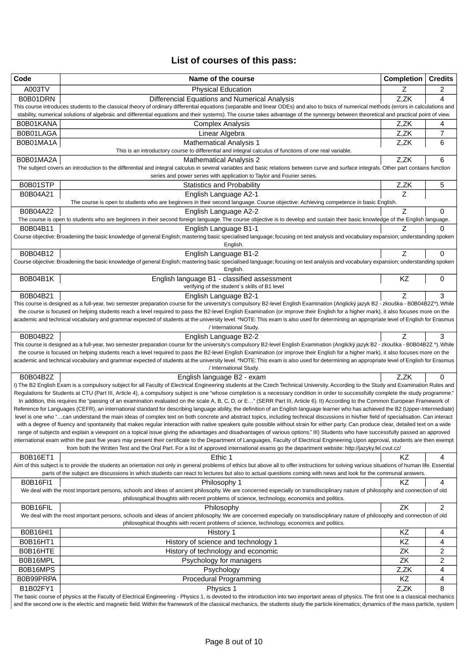# **List of courses of this pass:**

| Code            | Name of the course                                                                                                                                                                                                                                                                                                                                                              | <b>Completion</b> | <b>Credits</b> |
|-----------------|---------------------------------------------------------------------------------------------------------------------------------------------------------------------------------------------------------------------------------------------------------------------------------------------------------------------------------------------------------------------------------|-------------------|----------------|
| A003TV          | <b>Physical Education</b>                                                                                                                                                                                                                                                                                                                                                       | Z                 | 2              |
| B0B01DRN        | Differencial Equations and Numerical Analysis                                                                                                                                                                                                                                                                                                                                   | Z,ZK              | 4              |
|                 | This course introduces students to the classical theory of ordinary differential equations (separable and linear ODEs) and also to bsics of numerical methods (errors in calculations and                                                                                                                                                                                       |                   |                |
|                 | stability, numerical solutions of algebraic and differential equations and their systems). The course takes advantage of the synnergy between theoretical and practical point of view.                                                                                                                                                                                          |                   |                |
| B0B01KANA       | <b>Complex Analysis</b>                                                                                                                                                                                                                                                                                                                                                         | Z,ZK              | 4              |
| B0B01LAGA       | Linear Algebra                                                                                                                                                                                                                                                                                                                                                                  | Z,ZK              | 7              |
| B0B01MA1A       | <b>Mathematical Analysis 1</b><br>This is an introductory course to differential and integral calculus of functions of one real variable.                                                                                                                                                                                                                                       | Z,ZK              | 6              |
| B0B01MA2A       | <b>Mathematical Analysis 2</b>                                                                                                                                                                                                                                                                                                                                                  | Z,ZK              | 6              |
|                 | The subject covers an introduction to the differential and integral calculus in several variables and basic relations between curve and surface integrals. Other part contains function                                                                                                                                                                                         |                   |                |
|                 | series and power series with application to Taylor and Fourier series.                                                                                                                                                                                                                                                                                                          |                   |                |
| B0B01STP        | <b>Statistics and Probability</b>                                                                                                                                                                                                                                                                                                                                               | Z,ZK              | 5              |
| B0B04A21        | English Language A2-1                                                                                                                                                                                                                                                                                                                                                           | Z                 |                |
|                 | The course is open to students who are beginners in their second language. Course objective: Achieving competence in basic English.                                                                                                                                                                                                                                             |                   |                |
| B0B04A22        | English Language A2-2                                                                                                                                                                                                                                                                                                                                                           | Z                 | 0              |
| B0B04B11        | The course is open to students who are beginners in their second foreign language. The course objective is to develop and sustain their basic knowledge of the English language.                                                                                                                                                                                                |                   | 0              |
|                 | English Language B1-1<br>Course objective: Broadening the basic knowledge of general English; mastering basic specialised language; focusing on text analysis and vocabulary expansion; understanding spoken                                                                                                                                                                    |                   |                |
|                 | English.                                                                                                                                                                                                                                                                                                                                                                        |                   |                |
| B0B04B12        | English Language B1-2                                                                                                                                                                                                                                                                                                                                                           | Ζ                 | 0              |
|                 | Course objective: Broadening the basic knowledge of general English; mastering basic specialised language; focusing on text analysis and vocabulary expansion; understanding spoken                                                                                                                                                                                             |                   |                |
|                 | English.                                                                                                                                                                                                                                                                                                                                                                        |                   |                |
| B0B04B1K        | English language B1 - classified assessment                                                                                                                                                                                                                                                                                                                                     | KZ                | 0              |
|                 | verifying of the student's skills of B1 level                                                                                                                                                                                                                                                                                                                                   | Ζ                 | 3              |
| B0B04B21        | English Language B2-1<br>This course is designed as a full-year, two semester preparation course for the university's compulsory B2-level English Examination (Anglický jazyk B2 - zkouška - B0B04B2Z*). While                                                                                                                                                                  |                   |                |
|                 | the course is focused on helping students reach a level required to pass the B2-level English Examination (or improve their English for a higher mark), it also focuses more on the                                                                                                                                                                                             |                   |                |
|                 | academic and technical vocabulary and grammar expected of students at the university level. *NOTE: This exam is also used for determining an appropriate level of English for Erasmus                                                                                                                                                                                           |                   |                |
|                 | / International Study.                                                                                                                                                                                                                                                                                                                                                          |                   |                |
| B0B04B22        | English Language B2-2                                                                                                                                                                                                                                                                                                                                                           |                   | 3              |
|                 | This course is designed as a full-year, two semester preparation course for the university's compulsory B2-level English Examination (Anglický jazyk B2 - zkouška - B0B04B2Z *). While                                                                                                                                                                                          |                   |                |
|                 | the course is focused on helping students reach a level required to pass the B2-level English Examination (or improve their English for a higher mark), it also focuses more on the<br>academic and technical vocabulary and grammar expected of students at the university level. *NOTE: This exam is also used for determining an appropriate level of English for Erasmus    |                   |                |
|                 | / International Study.                                                                                                                                                                                                                                                                                                                                                          |                   |                |
| <b>B0B04B2Z</b> | English language B2 - exam                                                                                                                                                                                                                                                                                                                                                      | Z.ZK              | 0              |
|                 | I) The B2 English Exam is a compulsory subject for all Faculty of Electrical Engineering students at the Czech Technical University. According to the Study and Examination Rules and                                                                                                                                                                                           |                   |                |
|                 | Regulations for Students at CTU (Part III, Article 4), a compulsory subject is one "whose completion is a necessary condition in order to successfully complete the study programme."                                                                                                                                                                                           |                   |                |
|                 | In addition, this requires the "passing of an examination evaluated on the scale A, B, C, D, or E" (SERR Part III, Article 6). II) According to the Common European Framework of                                                                                                                                                                                                |                   |                |
|                 | Reference for Languages (CEFR), an international standard for describing language ability, the definition of an English language learner who has achieved the B2 (Upper-Intermediate)<br>level is one who "can understand the main ideas of complex text on both concrete and abstract topics, including technical discussions in his/her field of specialisation. Can interact |                   |                |
|                 | with a degree of fluency and spontaneity that makes regular interaction with native speakers quite possible without strain for either party. Can produce clear, detailed text on a wide                                                                                                                                                                                         |                   |                |
|                 | range of subjects and explain a viewpoint on a topical issue giving the advantages and disadvantages of various options." III) Students who have successfully passed an approved                                                                                                                                                                                                |                   |                |
|                 | international exam within the past five years may present their certificate to the Department of Languages, Faculty of Electrical Engineering. Upon approval, students are then exempt                                                                                                                                                                                          |                   |                |
|                 | from both the Written Test and the Oral Part. For a list of approved international exams go the department website: http://jazyky.fel.cvut.cz/                                                                                                                                                                                                                                  |                   |                |
| <b>B0B16ET1</b> | Ethic 1                                                                                                                                                                                                                                                                                                                                                                         | KZ                | 4              |
|                 | Aim of this subject is to provide the students an orientation not only in general problems of ethics but above all to offer instructions for solving various situations of human life. Essential<br>parts of the subject are discussions in which students can react to lectures but also to actual questions coming with news and look for the communal answers.               |                   |                |
| <b>B0B16FI1</b> | Philosophy 1                                                                                                                                                                                                                                                                                                                                                                    | ΚZ                | 4              |
|                 | We deal with the most important persons, schools and ideas of ancient philosophy. We are concerned especially on transdisciplinary nature of philosophy and connection of old                                                                                                                                                                                                   |                   |                |
|                 | philosophical thoughts with recent problems of science, technology, economics and politics.                                                                                                                                                                                                                                                                                     |                   |                |
| B0B16FIL        | Philosophy                                                                                                                                                                                                                                                                                                                                                                      | ZK                | 2              |
|                 | We deal with the most important persons, schools and ideas of ancient philosophy. We are concerned especially on transdisciplinary nature of philosophy and connection of old                                                                                                                                                                                                   |                   |                |
|                 | philosophical thoughts with recent problems of science, technology, economics and politics.                                                                                                                                                                                                                                                                                     |                   |                |
| <b>B0B16HI1</b> | History 1                                                                                                                                                                                                                                                                                                                                                                       | KZ                | 4              |
| B0B16HT1        | History of science and technology 1                                                                                                                                                                                                                                                                                                                                             | KZ                | 4              |
| B0B16HTE        | History of technology and economic                                                                                                                                                                                                                                                                                                                                              | ZK                | 2              |
| B0B16MPL        | Psychology for managers                                                                                                                                                                                                                                                                                                                                                         | ZK                | 2              |
| B0B16MPS        | Psychology                                                                                                                                                                                                                                                                                                                                                                      | Z,ZK              | 4              |
| B0B99PRPA       | <b>Procedural Programming</b>                                                                                                                                                                                                                                                                                                                                                   | KZ                | 4              |
| B1B02FY1        | Physics 1                                                                                                                                                                                                                                                                                                                                                                       | Z,ZK              | 8              |
|                 | The basic course of physics at the Faculty of Electrical Engineering - Physics 1, is devoted to the introduction into two important areas of physics. The first one is a classical mechanics                                                                                                                                                                                    |                   |                |

and the second one is the electric and magnetic field. Within the framework of the classical mechanics, the students study the particle kinematics; dynamics of the mass particle, system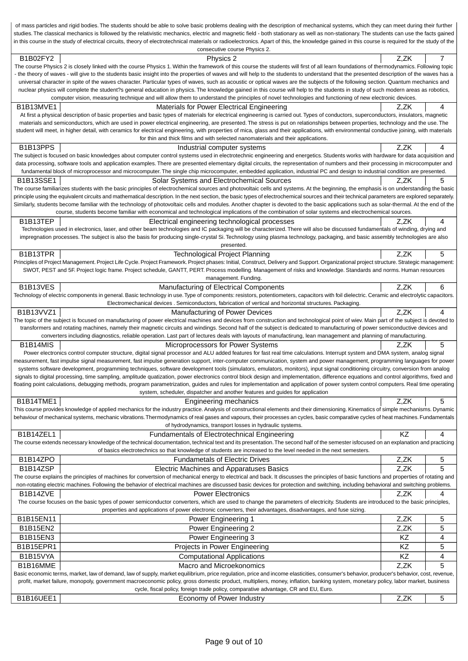of mass particles and rigid bodies. The students should be able to solve basic problems dealing with the description of mechanical systems, which they can meet during their further studies. The classical mechanics is followed by the relativistic mechanics, electric and magnetic field - both stationary as well as non-stationary. The students can use the facts gained in this course in the study of electrical circuits, theory of electrotechnical materials or radioelectronics. Apart of this, the knowledge gained in this course is required for the study of the consecutive course Physics 2. B1B02FY2 Physics 2 Z,ZK 7 The course Physics 2 is closely linked with the course Physics 1. Within the framework of this course the students will first of all learn foundations of thermodynamics. Following topic - the theory of waves - will give to the students basic insight into the properties of waves and will help to the students to understand that the presented description of the waves has a universal character in spite of the waves character. Particular types of waves, such as acoustic or optical waves are the subjects of the following section. Quantum mechanics and nuclear physics will complete the student?s general education in physics. The knowledge gained in this course will help to the students in study of such modern areas as robotics, computer vision, measuring technique and will allow them to understand the principles of novel technologies and functioning of new electronic devices. B1B13MVE1 | CALC Materials for Power Electrical Engineering The Material Engineering | Z,ZK | 4 At first a physical description of basic properties and basic types of materials for electrical engineering is carried out. Types of conductors, superconductors, insulators, magnetic materials and semiconductors, which are used in power electrical engineering, are presented. The stress is put on relationships between properties, technology and the use. The student will meet, in higher detail, with ceramics for electrical engineering, with properties of mica, glass and their applications, with environmental conductive joining, with materials for thin and thick films and with selected nanomaterials and their applications. B1B13PPS | CONSULTER INDUSTRIAL COMPUTER Systems | Z,ZK | 4 The subject is focused on basic knowledges about computer control systems used in electrotechnic engineering and energetics. Students works with hardware for data acquisition and data processing, software tools and application examples. There are presented elementary digital circuits, the representation of numbers and their processing in microcomputer and fundamental block of microprocessor and microcomputer. The single chip microcomputer, embedded application, industrial PC and design to industrial condition are presented. B1B13SSE1 Solar Systems and Electrochemical Sources The State of Text 5 The course familiarizes students with the basic principles of electrochemical sources and photovoltaic cells and systems. At the beginning, the emphasis is on understanding the basic principle using the equivalent circuits and mathematical description. In the next section, the basic types of electrochemical sources and their technical parameters are explored separately. Similarly, students become familiar with the technology of photovoltaic cells and modules. Another chapter is devoted to the basic applications such as solar-thermal. At the end of the course, students become familiar with economical and technological implications of the combination of solar systems and electrochemical sources. B1B13TEP | Electrical engineering technological processes | Z,ZK | 4 Technologies used in electronics, laser, and other beam technologies and IC packaging will be characterized. There will also be discussed fundamentals of winding, drying and impregnation processes. The subject is also the basis for producing single-crystal Si. Technology using plasma technology, packaging, and basic assembly technologies are also presented. B1B13TPR Technological Project Planning Technological Project Planning Technological Project Planning Technological Project Planning Technological Project Planning Technological Project Planning Technological Project Plann Principles of Project Management. Project Life Cycle. Project Framework. Project phases: Initial, Construct, Delivery and Support. Organizational project structure. Strategic management: SWOT, PEST and 5F. Project logic frame. Project schedule, GANTT, PERT. Process modelling. Management of risks and knowledge. Standards and norms. Human resources management. Funding. B1B13VES | CHO COMPONENT Manufacturing of Electrical Components | Z,ZK | 6 Technology of electric components in general. Basic technology in use.Type of components: resistors, potentiometers, capacitors with foil dielectric. Ceramic and electrolytic capacitors. Electromechanical devices . Semiconductors, fabrication of vertical and horizontal structures. Packaging. B1B13VVZ1 | CHANG AND Manufacturing of Power Devices | Z,ZK | 4 The topic of the subject is focused on manufacturing of power electrical machines and devices from construction and technological point of wiev. Main part of the subject is devoted to transformers and rotating machines, namely their magnetic circuits and windings. Second half of the subject is dedicated to manufacturing of power semiconductive devices and converters including diagnostics, reliable operation. Last part of lectures deals with layouts of manufactirung, lean management and planning of manufacturing. B1B14MIS | CHARIS | CHARIS | CHARIS | CHARIS | CHARIS | CHARIS | CHARIS | CHARIS | CHARIS | CHARIS | CHARIS | CH Power electronics control computer structure, digital signal processor and ALU added features for fast real time calculations. Interrupt system and DMA system, analog signal measurement, fast impulse signal measurement, fast impulse generation support, inter-computer communication, system and power management, programming languages for power systems software development, programming techniques, software development tools (simulators, emulators, monitors), input signal conditioning circuitry, conversion from analog signals to digital processing, time sampling, amplitude quatization, power electronics control block design and implementation, difference equations and control algorithms, fixed and floating point calculations, debugging methods, program parametrization, guides and rules for implementation and application of power system control computers. Real time operating system, scheduler, dispatcher and another features and guides for application B1B14TME1 **Engineering mechanics** Engineering mechanics and the Second Land Muslim Second Land Muslim Second Second Second Second Second Second Second Second Second Second Second Second Second Second Second Second Second S This course provides knowledge of applied mechanics for the industry practice. Analysis of constructional elements and their dimensioning. Kinematics of simple mechanisms. Dynamic behaviour of mechanical systems, mechanic vibrations.Thermodynamics of real gases and vapours, their processes an cycles, basic comparative cycles of heat machines. Fundamentals of hydrodynamics, transport losses in hydraulic systems. B1B14ZEL1 **Fundamentals of Electrotechnical Engineering** Fundamental Engineering RZ 4 The course extends necessary knowledge of the technical documentation, technical text and its presentation.The second half of the semester isfocused on an explanation and practicing of basics electrotechnics so that knowledge of students are increased to the level needed in the next semesters. B1B14ZPO **Fundametals of Electric Drives** The Structure Alternative C<sub>L</sub> 2,2K 5 B1B14ZSP | CHO Electric Machines and Apparatuses Basics | Z,ZK | 5 The course explains the principles of machines for convertsion of mechanical energy to electrical and back. It discusses the principles of basic functions and properties of rotating and non-rotating electric machines. Following the behavior of electrical machines are discussed basic devices for protection and switching, including behavioral and switching problems. B1B14ZVE BHT Power Electronics And The State of The State of The State of The Power Electronics And The State of The State of The State of The State of The State of The State of The State of The State of The State of The S The course focuses on the basic types of power semiconductor converters, which are used to change the parameters of electricity. Students are introduced to the basic principles, properties and applications of power electronic converters, their advantages, disadvantages, and fuse sizing. B1B15EN11 | Power Engineering 1 Z,ZK | 5 B1B15EN2 **Power Engineering 2** 2,ZK 5 B1B15EN3 | KZ 4 B1B15EPR1 **Reserves Contains the Struck Contains Projects in Power Engineering Contains and Reserves Contains Contains Reserves Contains Reserves Contains Reserves Contains Reserves Contains Reserves Contains Reserves Cont** B1B15VYA Computational Applications KZ 4 B1B16MME SALL CONTENTS AND MECHANIC AND MACRO AND MICROEKONOMICS CONTENTS AND MACRO AND MACRO AND MACRO AND MACRO AND MACRO AND MACRO AND THE SALL CONTENTS AND MACRO AND MACRO AND MACRO AND MACRO AND MACRO AND MACRO AND MA Basic economic terms, market, law of demand, law of supply, market equilibrium, price regulation, price and income elasticities, consumer's behavior, producer's behavior, cost, revenue, profit, market failure, monopoly, government macroeconomic policy, gross domestic product, multipliers, money, inflation, banking system, monetary policy, labor market, business cycle, fiscal policy, foreign trade policy, comparative advantage, CR and EU, Euro. B1B16UEE1 **Example 2,2K** 5 Economy of Power Industry **Example 2,2K** 5